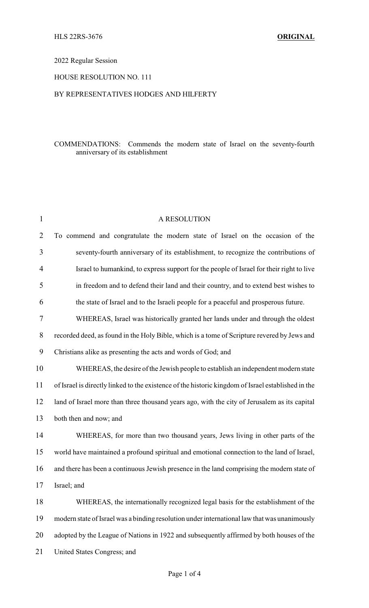#### 2022 Regular Session

## HOUSE RESOLUTION NO. 111

## BY REPRESENTATIVES HODGES AND HILFERTY

#### COMMENDATIONS: Commends the modern state of Israel on the seventy-fourth anniversary of its establishment

| $\mathbf{1}$   | A RESOLUTION                                                                                       |
|----------------|----------------------------------------------------------------------------------------------------|
| $\overline{2}$ | To commend and congratulate the modern state of Israel on the occasion of the                      |
| 3              | seventy-fourth anniversary of its establishment, to recognize the contributions of                 |
| 4              | Israel to humankind, to express support for the people of Israel for their right to live           |
| 5              | in freedom and to defend their land and their country, and to extend best wishes to                |
| 6              | the state of Israel and to the Israeli people for a peaceful and prosperous future.                |
| 7              | WHEREAS, Israel was historically granted her lands under and through the oldest                    |
| $8\,$          | recorded deed, as found in the Holy Bible, which is a tome of Scripture revered by Jews and        |
| 9              | Christians alike as presenting the acts and words of God; and                                      |
| 10             | WHEREAS, the desire of the Jewish people to establish an independent modern state                  |
| 11             | of Israel is directly linked to the existence of the historic kingdom of Israel established in the |
| 12             | land of Israel more than three thousand years ago, with the city of Jerusalem as its capital       |
| 13             | both then and now; and                                                                             |
| 14             | WHEREAS, for more than two thousand years, Jews living in other parts of the                       |
| 15             | world have maintained a profound spiritual and emotional connection to the land of Israel,         |
| 16             | and there has been a continuous Jewish presence in the land comprising the modern state of         |
| 17             | Israel; and                                                                                        |
| 18             | WHEREAS, the internationally recognized legal basis for the establishment of the                   |
| 19             | modern state of Israel was a binding resolution under international law that was unanimously       |
| 20             | adopted by the League of Nations in 1922 and subsequently affirmed by both houses of the           |
| 21             | United States Congress; and                                                                        |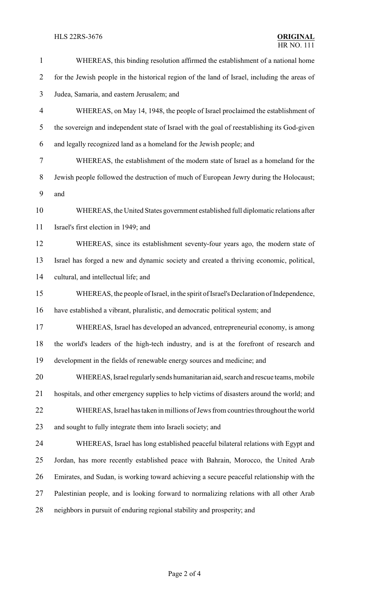#### **HLS 22RS-3676**

| $\mathbf{1}$             | WHEREAS, this binding resolution affirmed the establishment of a national home               |
|--------------------------|----------------------------------------------------------------------------------------------|
| $\overline{2}$           | for the Jewish people in the historical region of the land of Israel, including the areas of |
| 3                        | Judea, Samaria, and eastern Jerusalem; and                                                   |
| $\overline{\mathcal{A}}$ | WHEREAS, on May 14, 1948, the people of Israel proclaimed the establishment of               |
| 5                        | the sovereign and independent state of Israel with the goal of reestablishing its God-given  |
| 6                        | and legally recognized land as a homeland for the Jewish people; and                         |
| 7                        | WHEREAS, the establishment of the modern state of Israel as a homeland for the               |
| $8\,$                    | Jewish people followed the destruction of much of European Jewry during the Holocaust;       |
| 9                        | and                                                                                          |
| 10                       | WHEREAS, the United States government established full diplomatic relations after            |
| 11                       | Israel's first election in 1949; and                                                         |
| 12                       | WHEREAS, since its establishment seventy-four years ago, the modern state of                 |
| 13                       | Israel has forged a new and dynamic society and created a thriving economic, political,      |
| 14                       | cultural, and intellectual life; and                                                         |
| 15                       | WHEREAS, the people of Israel, in the spirit of Israel's Declaration of Independence,        |
| 16                       | have established a vibrant, pluralistic, and democratic political system; and                |
| 17                       | WHEREAS, Israel has developed an advanced, entrepreneurial economy, is among                 |
| 18                       | the world's leaders of the high-tech industry, and is at the forefront of research and       |
| 19                       | development in the fields of renewable energy sources and medicine; and                      |
| 20                       | WHEREAS, Israel regularly sends humanitarian aid, search and rescue teams, mobile            |
| 21                       | hospitals, and other emergency supplies to help victims of disasters around the world; and   |
| 22                       | WHEREAS, Israel has taken in millions of Jews from countries throughout the world            |
| 23                       | and sought to fully integrate them into Israeli society; and                                 |
| 24                       | WHEREAS, Israel has long established peaceful bilateral relations with Egypt and             |
| 25                       | Jordan, has more recently established peace with Bahrain, Morocco, the United Arab           |
| 26                       | Emirates, and Sudan, is working toward achieving a secure peaceful relationship with the     |
| 27                       | Palestinian people, and is looking forward to normalizing relations with all other Arab      |
| 28                       | neighbors in pursuit of enduring regional stability and prosperity; and                      |
|                          |                                                                                              |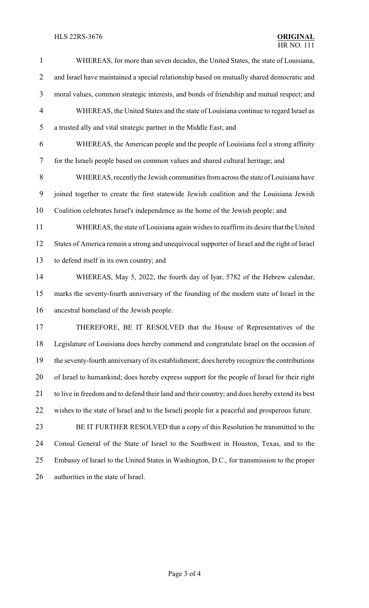# HLS 22RS-3676 **ORIGINAL**

| $\mathbf{1}$             | WHEREAS, for more than seven decades, the United States, the state of Louisiana,               |
|--------------------------|------------------------------------------------------------------------------------------------|
| $\overline{2}$           | and Israel have maintained a special relationship based on mutually shared democratic and      |
| 3                        | moral values, common strategic interests, and bonds of friendship and mutual respect; and      |
| $\overline{\mathcal{A}}$ | WHEREAS, the United States and the state of Louisiana continue to regard Israel as             |
| 5                        | a trusted ally and vital strategic partner in the Middle East; and                             |
| 6                        | WHEREAS, the American people and the people of Louisiana feel a strong affinity                |
| $\overline{7}$           | for the Israeli people based on common values and shared cultural heritage; and                |
| $8\,$                    | WHEREAS, recently the Jewish communities from across the state of Louisiana have               |
| 9                        | joined together to create the first statewide Jewish coalition and the Louisiana Jewish        |
| 10                       | Coalition celebrates Israel's independence as the home of the Jewish people; and               |
| 11                       | WHEREAS, the state of Louisiana again wishes to reaffirm its desire that the United            |
| 12                       | States of America remain a strong and unequivocal supporter of Israel and the right of Israel  |
| 13                       | to defend itself in its own country; and                                                       |
| 14                       | WHEREAS, May 5, 2022, the fourth day of Iyar, 5782 of the Hebrew calendar,                     |
| 15                       | marks the seventy-fourth anniversary of the founding of the modern state of Israel in the      |
| 16                       | ancestral homeland of the Jewish people.                                                       |
| 17                       | THEREFORE, BE IT RESOLVED that the House of Representatives of the                             |
| 18                       | Legislature of Louisiana does hereby commend and congratulate Israel on the occasion of        |
| 19                       | the seventy-fourth anniversary of its establishment; does hereby recognize the contributions   |
| 20                       | of Israel to humankind; does hereby express support for the people of Israel for their right   |
| 21                       | to live in freedom and to defend their land and their country; and does hereby extend its best |
| 22                       | wishes to the state of Israel and to the Israeli people for a peaceful and prosperous future.  |
| 23                       | BE IT FURTHER RESOLVED that a copy of this Resolution be transmitted to the                    |
| 24                       | Consul General of the State of Israel to the Southwest in Houston, Texas, and to the           |
| 25                       | Embassy of Israel to the United States in Washington, D.C., for transmission to the proper     |
| 26                       | authorities in the state of Israel.                                                            |